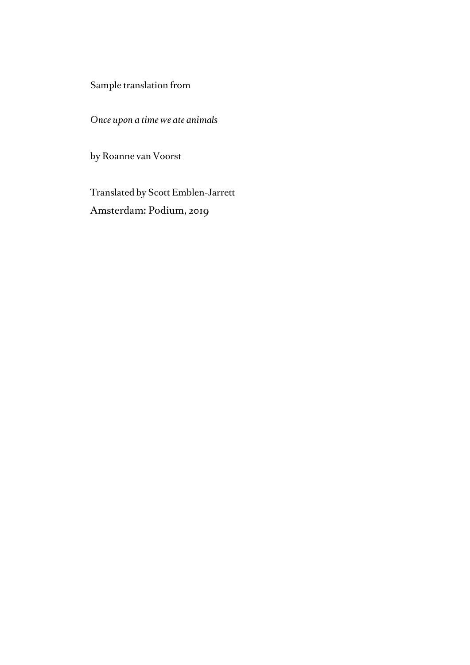Sample translation from

*Once upon a time we ate animals*

by Roanne van Voorst

Translated by Scott Emblen-Jarrett Amsterdam: Podium, 2019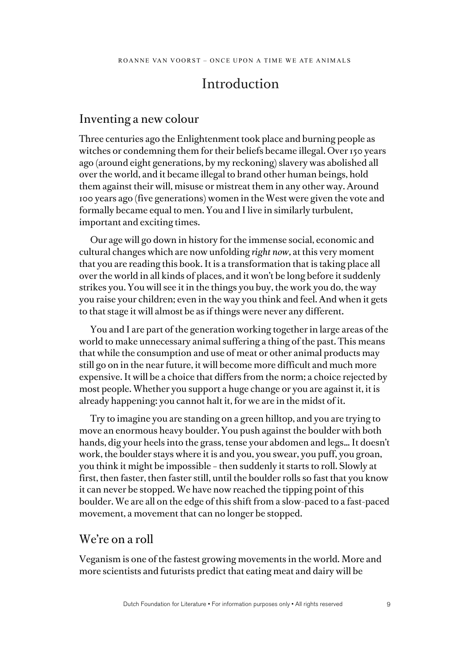# Introduction

#### Inventing a new colour

Three centuries ago the Enlightenment took place and burning people as witches or condemning them for their beliefs became illegal. Over 150 years ago (around eight generations, by my reckoning) slavery was abolished all over the world, and it became illegal to brand other human beings, hold them against their will, misuse or mistreat them in any other way. Around 100 years ago (five generations) women in the West were given the vote and formally became equal to men. You and I live in similarly turbulent, important and exciting times.

Our age will go down in history for the immense social, economic and cultural changes which are now unfolding *right now,* at this very moment that you are reading this book. It is a transformation that is taking place all over the world in all kinds of places, and it won't be long before it suddenly strikes you. You will see it in the things you buy, the work you do, the way you raise your children; even in the way you think and feel. And when it gets to that stage it will almost be as if things were never any different.

You and I are part of the generation working together in large areas of the world to make unnecessary animal suffering a thing of the past. This means that while the consumption and use of meat or other animal products may still go on in the near future, it will become more difficult and much more expensive. It will be a choice that differs from the norm; a choice rejected by most people. Whether you support a huge change or you are against it, it is already happening: you cannot halt it, for we are in the midst of it.

Try to imagine you are standing on a green hilltop, and you are trying to move an enormous heavy boulder. You push against the boulder with both hands, dig your heels into the grass, tense your abdomen and legs… It doesn't work, the boulder stays where it is and you, you swear, you puff, you groan, you think it might be impossible – then suddenly it starts to roll. Slowly at first, then faster, then faster still, until the boulder rolls so fast that you know it can never be stopped. We have now reached the tipping point of this boulder. We are all on the edge of this shift from a slow-paced to a fast-paced movement, a movement that can no longer be stopped.

#### We're on a roll

Veganism is one of the fastest growing movements in the world. More and more scientists and futurists predict that eating meat and dairy will be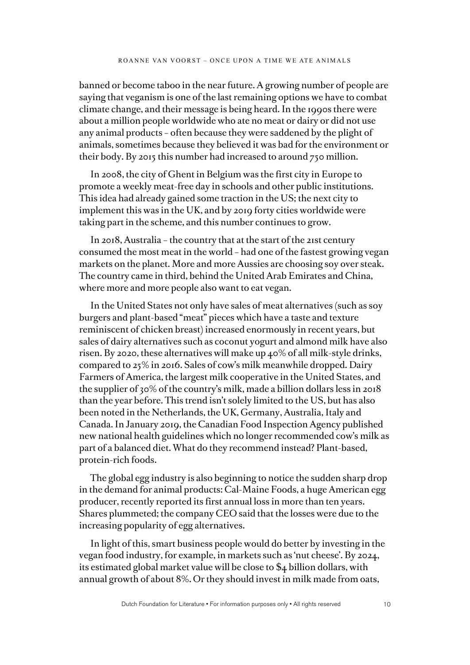banned or become taboo in the near future. A growing number of people are saying that veganism is one of the last remaining options we have to combat climate change, and their message is being heard. In the 1990s there were about a million people worldwide who ate no meat or dairy or did not use any animal products – often because they were saddened by the plight of animals, sometimes because they believed it was bad for the environment or their body. By 2015 this number had increased to around 750 million.

In 2008, the city of Ghent in Belgium was the first city in Europe to promote a weekly meat-free day in schools and other public institutions. This idea had already gained some traction in the US; the next city to implement this was in the UK, and by 2019 forty cities worldwide were taking part in the scheme, and this number continues to grow.

In 2018, Australia – the country that at the start of the 21st century consumed the most meat in the world – had one of the fastest growing vegan markets on the planet. More and more Aussies are choosing soy over steak. The country came in third, behind the United Arab Emirates and China, where more and more people also want to eat vegan.

In the United States not only have sales of meat alternatives (such as soy burgers and plant-based "meat" pieces which have a taste and texture reminiscent of chicken breast) increased enormously in recent years, but sales of dairy alternatives such as coconut yogurt and almond milk have also risen. By 2020, these alternatives will make up 40% of all milk-style drinks, compared to 25% in 2016. Sales of cow's milk meanwhile dropped. Dairy Farmers of America, the largest milk cooperative in the United States, and the supplier of 30% of the country's milk, made a billion dollars less in 2018 than the year before. This trend isn't solely limited to the US, but has also been noted in the Netherlands, the UK, Germany, Australia, Italy and Canada. In January 2019, the Canadian Food Inspection Agency published new national health guidelines which no longer recommended cow's milk as part of a balanced diet. What do they recommend instead? Plant-based, protein-rich foods.

The global egg industry is also beginning to notice the sudden sharp drop in the demand for animal products: Cal-Maine Foods, a huge American egg producer, recently reported its first annual loss in more than ten years. Shares plummeted; the company CEO said that the losses were due to the increasing popularity of egg alternatives.

In light of this, smart business people would do better by investing in the vegan food industry, for example, in markets such as 'nut cheese'. By 2024, its estimated global market value will be close to \$4 billion dollars, with annual growth of about 8%. Or they should invest in milk made from oats,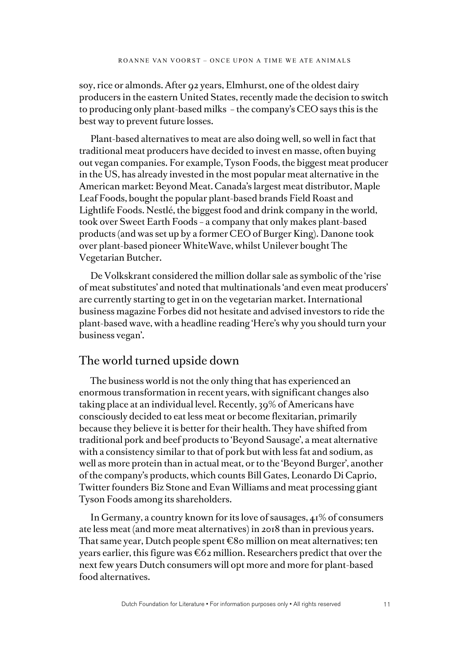soy, rice or almonds. After 92 years, Elmhurst, one of the oldest dairy producers in the eastern United States, recently made the decision to switch to producing only plant-based milks – the company's CEO says this is the best way to prevent future losses.

Plant-based alternatives to meat are also doing well, so well in fact that traditional meat producers have decided to invest en masse, often buying out vegan companies. For example, Tyson Foods, the biggest meat producer in the US, has already invested in the most popular meat alternative in the American market: Beyond Meat. Canada's largest meat distributor, Maple Leaf Foods, bought the popular plant-based brands Field Roast and Lightlife Foods. Nestlé, the biggest food and drink company in the world, took over Sweet Earth Foods – a company that only makes plant-based products (and was set up by a former CEO of Burger King). Danone took over plant-based pioneer WhiteWave, whilst Unilever bought The Vegetarian Butcher.

De Volkskrant considered the million dollar sale as symbolic of the 'rise of meat substitutes' and noted that multinationals 'and even meat producers' are currently starting to get in on the vegetarian market. International business magazine Forbes did not hesitate and advised investors to ride the plant-based wave, with a headline reading 'Here's why you should turn your business vegan'.

### The world turned upside down

The business world is not the only thing that has experienced an enormous transformation in recent years, with significant changes also taking place at an individual level. Recently, 39% of Americans have consciously decided to eat less meat or become flexitarian, primarily because they believe it is better for their health. They have shifted from traditional pork and beef products to 'Beyond Sausage', a meat alternative with a consistency similar to that of pork but with less fat and sodium, as well as more protein than in actual meat, or to the 'Beyond Burger', another of the company's products, which counts Bill Gates, Leonardo Di Caprio, Twitter founders Biz Stone and Evan Williams and meat processing giant Tyson Foods among its shareholders.

In Germany, a country known for its love of sausages, 41% of consumers ate less meat (and more meat alternatives) in 2018 than in previous years. That same year, Dutch people spent  $\epsilon$ 80 million on meat alternatives; ten years earlier, this figure was  $\epsilon$ 62 million. Researchers predict that over the next few years Dutch consumers will opt more and more for plant-based food alternatives.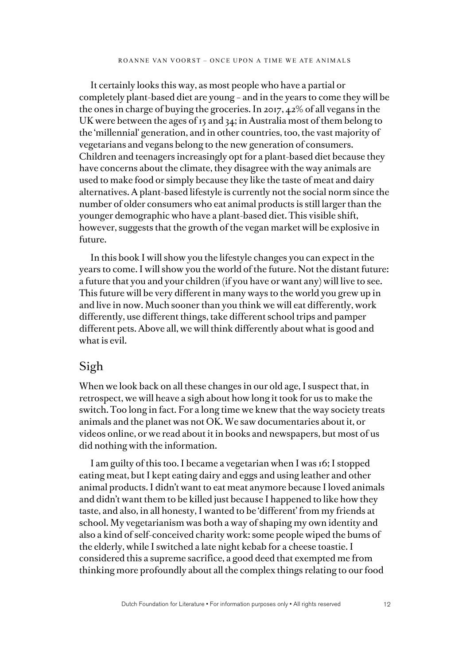It certainly looks this way, as most people who have a partial or completely plant-based diet are young – and in the years to come they will be the ones in charge of buying the groceries. In 2017, 42% of all vegans in the UK were between the ages of 15 and 34; in Australia most of them belong to the 'millennial' generation, and in other countries, too, the vast majority of vegetarians and vegans belong to the new generation of consumers. Children and teenagers increasingly opt for a plant-based diet because they have concerns about the climate, they disagree with the way animals are used to make food or simply because they like the taste of meat and dairy alternatives. A plant-based lifestyle is currently not the social norm since the number of older consumers who eat animal products is still larger than the younger demographic who have a plant-based diet. This visible shift, however, suggests that the growth of the vegan market will be explosive in future.

In this book I will show you the lifestyle changes you can expect in the years to come. I will show you the world of the future. Not the distant future: a future that you and your children (if you have or want any) will live to see. This future will be very different in many ways to the world you grew up in and live in now. Much sooner than you think we will eat differently, work differently, use different things, take different school trips and pamper different pets. Above all, we will think differently about what is good and what is evil.

### Sigh

When we look back on all these changes in our old age, I suspect that, in retrospect, we will heave a sigh about how long it took for us to make the switch. Too long in fact. For a long time we knew that the way society treats animals and the planet was not OK. We saw documentaries about it, or videos online, or we read about it in books and newspapers, but most of us did nothing with the information.

I am guilty of this too. I became a vegetarian when I was 16; I stopped eating meat, but I kept eating dairy and eggs and using leather and other animal products. I didn't want to eat meat anymore because I loved animals and didn't want them to be killed just because I happened to like how they taste, and also, in all honesty, I wanted to be 'different' from my friends at school. My vegetarianism was both a way of shaping my own identity and also a kind of self-conceived charity work: some people wiped the bums of the elderly, while I switched a late night kebab for a cheese toastie. I considered this a supreme sacrifice, a good deed that exempted me from thinking more profoundly about all the complex things relating to our food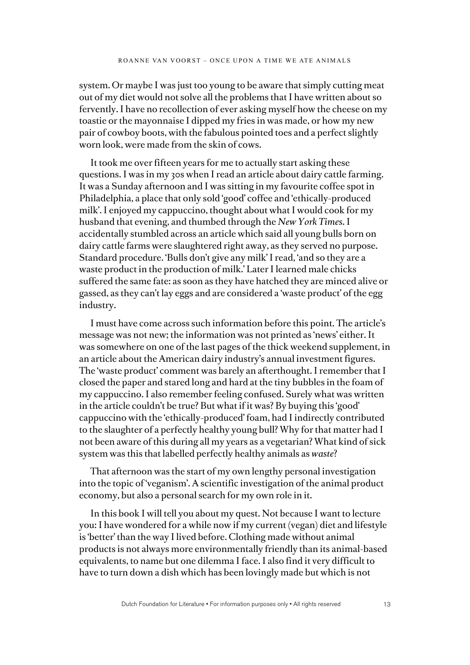system. Or maybe I was just too young to be aware that simply cutting meat out of my diet would not solve all the problems that I have written about so fervently. I have no recollection of ever asking myself how the cheese on my toastie or the mayonnaise I dipped my fries in was made, or how my new pair of cowboy boots, with the fabulous pointed toes and a perfect slightly worn look, were made from the skin of cows.

It took me over fifteen years for me to actually start asking these questions. I was in my 30s when I read an article about dairy cattle farming. It was a Sunday afternoon and I was sitting in my favourite coffee spot in Philadelphia, a place that only sold 'good' coffee and 'ethically-produced milk'. I enjoyed my cappuccino, thought about what I would cook for my husband that evening, and thumbed through the *New York Times*. I accidentally stumbled across an article which said all young bulls born on dairy cattle farms were slaughtered right away, as they served no purpose. Standard procedure. 'Bulls don't give any milk' I read, 'and so they are a waste product in the production of milk.' Later I learned male chicks suffered the same fate: as soon as they have hatched they are minced alive or gassed, as they can't lay eggs and are considered a 'waste product' of the egg industry.

I must have come across such information before this point. The article's message was not new; the information was not printed as 'news' either. It was somewhere on one of the last pages of the thick weekend supplement, in an article about the American dairy industry's annual investment figures. The 'waste product' comment was barely an afterthought. I remember that I closed the paper and stared long and hard at the tiny bubbles in the foam of my cappuccino. I also remember feeling confused. Surely what was written in the article couldn't be true? But what if it was? By buying this 'good' cappuccino with the 'ethically-produced' foam, had I indirectly contributed to the slaughter of a perfectly healthy young bull? Why for that matter had I not been aware of this during all my years as a vegetarian? What kind of sick system was this that labelled perfectly healthy animals as *waste*?

That afternoon was the start of my own lengthy personal investigation into the topic of 'veganism'. A scientific investigation of the animal product economy, but also a personal search for my own role in it.

In this book I will tell you about my quest. Not because I want to lecture you: I have wondered for a while now if my current (vegan) diet and lifestyle is 'better' than the way I lived before. Clothing made without animal products is not always more environmentally friendly than its animal-based equivalents, to name but one dilemma I face. I also find it very difficult to have to turn down a dish which has been lovingly made but which is not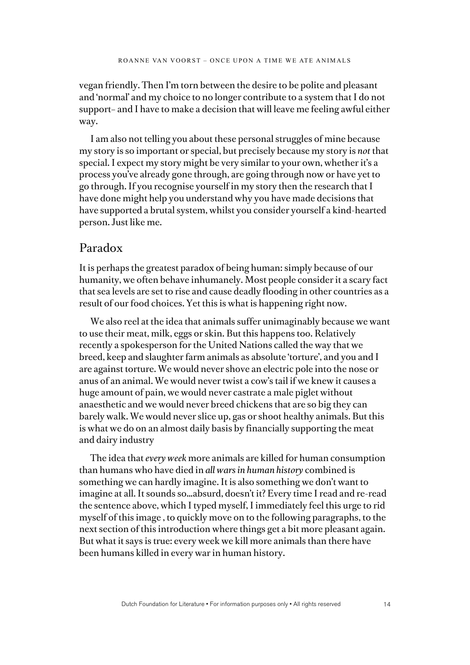vegan friendly. Then I'm torn between the desire to be polite and pleasant and 'normal' and my choice to no longer contribute to a system that I do not support– and I have to make a decision that will leave me feeling awful either way.

I am also not telling you about these personal struggles of mine because my story is so important or special, but precisely because my story is *not* that special. I expect my story might be very similar to your own, whether it's a process you've already gone through, are going through now or have yet to go through. If you recognise yourself in my story then the research that I have done might help you understand why you have made decisions that have supported a brutal system, whilst you consider yourself a kind-hearted person. Just like me.

### Paradox

It is perhaps the greatest paradox of being human: simply because of our humanity, we often behave inhumanely. Most people consider it a scary fact that sea levels are set to rise and cause deadly flooding in other countries as a result of our food choices. Yet this is what is happening right now.

We also reel at the idea that animals suffer unimaginably because we want to use their meat, milk, eggs or skin. But this happens too. Relatively recently a spokesperson for the United Nations called the way that we breed, keep and slaughter farm animals as absolute 'torture', and you and I are against torture. We would never shove an electric pole into the nose or anus of an animal. We would never twist a cow's tail if we knew it causes a huge amount of pain, we would never castrate a male piglet without anaesthetic and we would never breed chickens that are so big they can barely walk. We would never slice up, gas or shoot healthy animals. But this is what we do on an almost daily basis by financially supporting the meat and dairy industry

The idea that *every week* more animals are killed for human consumption than humans who have died in *all wars in human history* combined is something we can hardly imagine. It is also something we don't want to imagine at all. It sounds so…absurd, doesn't it? Every time I read and re-read the sentence above, which I typed myself, I immediately feel this urge to rid myself of this image , to quickly move on to the following paragraphs, to the next section of this introduction where things get a bit more pleasant again. But what it says is true: every week we kill more animals than there have been humans killed in every war in human history.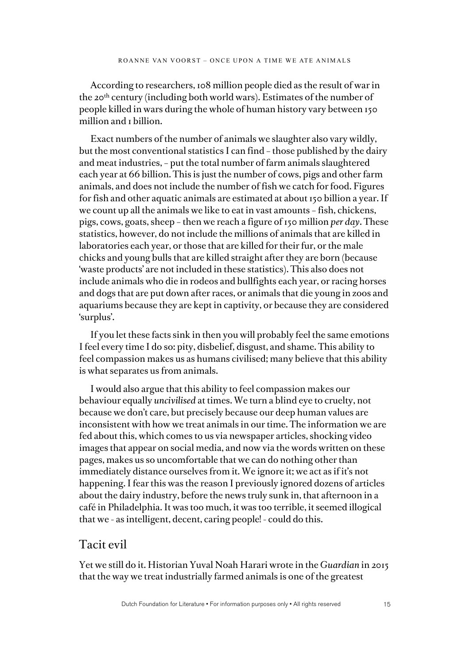According to researchers, 108 million people died as the result of war in the 20th century (including both world wars). Estimates of the number of people killed in wars during the whole of human history vary between 150 million and *I* billion.

Exact numbers of the number of animals we slaughter also vary wildly, but the most conventional statistics I can find – those published by the dairy and meat industries, – put the total number of farm animals slaughtered each year at 66 billion. This is just the number of cows, pigs and other farm animals, and does not include the number of fish we catch for food. Figures for fish and other aquatic animals are estimated at about 150 billion a year. If we count up all the animals we like to eat in vast amounts – fish, chickens, pigs, cows, goats, sheep – then we reach a figure of 150 million *per day*. These statistics, however, do not include the millions of animals that are killed in laboratories each year, or those that are killed for their fur, or the male chicks and young bulls that are killed straight after they are born (because 'waste products' are not included in these statistics). This also does not include animals who die in rodeos and bullfights each year, or racing horses and dogs that are put down after races, or animals that die young in zoos and aquariums because they are kept in captivity, or because they are considered 'surplus'.

If you let these facts sink in then you will probably feel the same emotions I feel every time I do so: pity, disbelief, disgust, and shame. This ability to feel compassion makes us as humans civilised; many believe that this ability is what separates us from animals.

I would also argue that this ability to feel compassion makes our behaviour equally *uncivilised* at times. We turn a blind eye to cruelty, not because we don't care, but precisely because our deep human values are inconsistent with how we treat animals in our time. The information we are fed about this, which comes to us via newspaper articles, shocking video images that appear on social media, and now via the words written on these pages, makes us so uncomfortable that we can do nothing other than immediately distance ourselves from it. We ignore it; we act as if it's not happening. I fear this was the reason I previously ignored dozens of articles about the dairy industry, before the news truly sunk in, that afternoon in a café in Philadelphia. It was too much, it was too terrible, it seemed illogical that we - as intelligent, decent, caring people! - could do this.

### Tacit evil

Yet we still do it. Historian Yuval Noah Harari wrote in the *Guardian* in 2015 that the way we treat industrially farmed animals is one of the greatest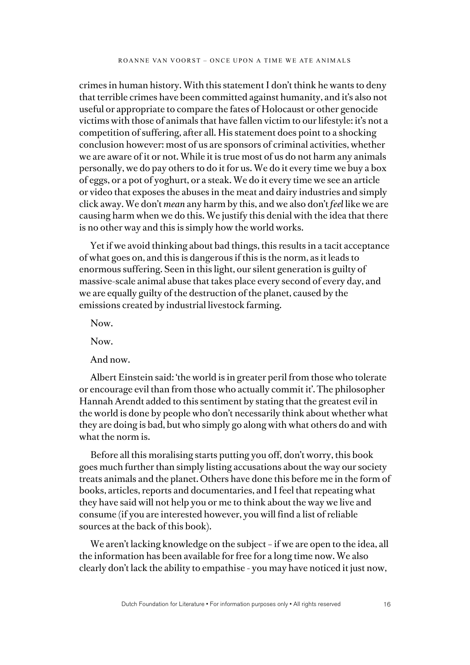crimes in human history. With this statement I don't think he wants to deny that terrible crimes have been committed against humanity, and it's also not useful or appropriate to compare the fates of Holocaust or other genocide victims with those of animals that have fallen victim to our lifestyle: it's not a competition of suffering, after all. His statement does point to a shocking conclusion however: most of us are sponsors of criminal activities, whether we are aware of it or not. While it is true most of us do not harm any animals personally, we do pay others to do it for us. We do it every time we buy a box of eggs, or a pot of yoghurt, or a steak. We do it every time we see an article or video that exposes the abuses in the meat and dairy industries and simply click away. We don't *mean* any harm by this, and we also don't *feel* like we are causing harm when we do this. We justify this denial with the idea that there is no other way and this is simply how the world works.

Yet if we avoid thinking about bad things, this results in a tacit acceptance of what goes on, and this is dangerous if this is the norm, as it leads to enormous suffering. Seen in this light, our silent generation is guilty of massive-scale animal abuse that takes place every second of every day, and we are equally guilty of the destruction of the planet, caused by the emissions created by industrial livestock farming.

Now.

Now.

And now.

Albert Einstein said: 'the world is in greater peril from those who tolerate or encourage evil than from those who actually commit it'. The philosopher Hannah Arendt added to this sentiment by stating that the greatest evil in the world is done by people who don't necessarily think about whether what they are doing is bad, but who simply go along with what others do and with what the norm is.

Before all this moralising starts putting you off, don't worry, this book goes much further than simply listing accusations about the way our society treats animals and the planet. Others have done this before me in the form of books, articles, reports and documentaries, and I feel that repeating what they have said will not help you or me to think about the way we live and consume (if you are interested however, you will find a list of reliable sources at the back of this book).

We aren't lacking knowledge on the subject - if we are open to the idea, all the information has been available for free for a long time now. We also clearly don't lack the ability to empathise - you may have noticed it just now,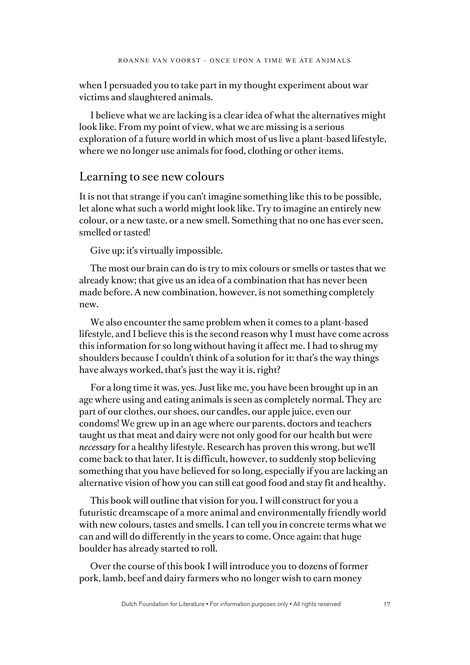when I persuaded you to take part in my thought experiment about war victims and slaughtered animals.

I believe what we are lacking is a clear idea of what the alternatives might look like. From my point of view, what we are missing is a serious exploration of a future world in which most of us live a plant-based lifestyle, where we no longer use animals for food, clothing or other items.

#### Learning to see new colours

It is not that strange if you can't imagine something like this to be possible, let alone what such a world might look like. Try to imagine an entirely new colour, or a new taste, or a new smell. Something that no one has ever seen, smelled or tasted!

Give up; it's virtually impossible.

The most our brain can do is try to mix colours or smells or tastes that we already know; that give us an idea of a combination that has never been made before. A new combination, however, is not something completely new.

We also encounter the same problem when it comes to a plant-based lifestyle, and I believe this is the second reason why I must have come across this information for so long without having it affect me. I had to shrug my shoulders because I couldn't think of a solution for it: that's the way things have always worked, that's just the way it is, right?

For a long time it was, yes. Just like me, you have been brought up in an age where using and eating animals is seen as completely normal. They are part of our clothes, our shoes, our candles, our apple juice, even our condoms! We grew up in an age where our parents, doctors and teachers taught us that meat and dairy were not only good for our health but were *necessary* for a healthy lifestyle. Research has proven this wrong, but we'll come back to that later. It is difficult, however, to suddenly stop believing something that you have believed for so long, especially if you are lacking an alternative vision of how you can still eat good food and stay fit and healthy.

This book will outline that vision for you. I will construct for you a futuristic dreamscape of a more animal and environmentally friendly world with new colours, tastes and smells. I can tell you in concrete terms what we can and will do differently in the years to come. Once again: that huge boulder has already started to roll.

Over the course of this book I will introduce you to dozens of former pork, lamb, beef and dairy farmers who no longer wish to earn money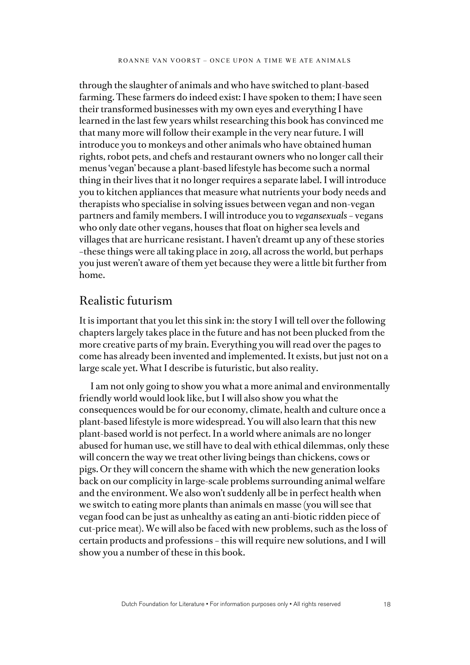through the slaughter of animals and who have switched to plant-based farming. These farmers do indeed exist: I have spoken to them; I have seen their transformed businesses with my own eyes and everything I have learned in the last few years whilst researching this book has convinced me that many more will follow their example in the very near future. I will introduce you to monkeys and other animals who have obtained human rights, robot pets, and chefs and restaurant owners who no longer call their menus 'vegan' because a plant-based lifestyle has become such a normal thing in their lives that it no longer requires a separate label. I will introduce you to kitchen appliances that measure what nutrients your body needs and therapists who specialise in solving issues between vegan and non-vegan partners and family members. I will introduce you to *vegansexuals* – vegans who only date other vegans, houses that float on higher sea levels and villages that are hurricane resistant. I haven't dreamt up any of these stories –these things were all taking place in 2019, all across the world, but perhaps you just weren't aware of them yet because they were a little bit further from home.

## Realistic futurism

It is important that you let this sink in: the story I will tell over the following chapters largely takes place in the future and has not been plucked from the more creative parts of my brain. Everything you will read over the pages to come has already been invented and implemented. It exists, but just not on a large scale yet. What I describe is futuristic, but also reality.

I am not only going to show you what a more animal and environmentally friendly world would look like, but I will also show you what the consequences would be for our economy, climate, health and culture once a plant-based lifestyle is more widespread. You will also learn that this new plant-based world is not perfect. In a world where animals are no longer abused for human use, we still have to deal with ethical dilemmas, only these will concern the way we treat other living beings than chickens, cows or pigs. Or they will concern the shame with which the new generation looks back on our complicity in large-scale problems surrounding animal welfare and the environment. We also won't suddenly all be in perfect health when we switch to eating more plants than animals en masse (you will see that vegan food can be just as unhealthy as eating an anti-biotic ridden piece of cut-price meat). We will also be faced with new problems, such as the loss of certain products and professions – this will require new solutions, and I will show you a number of these in this book.